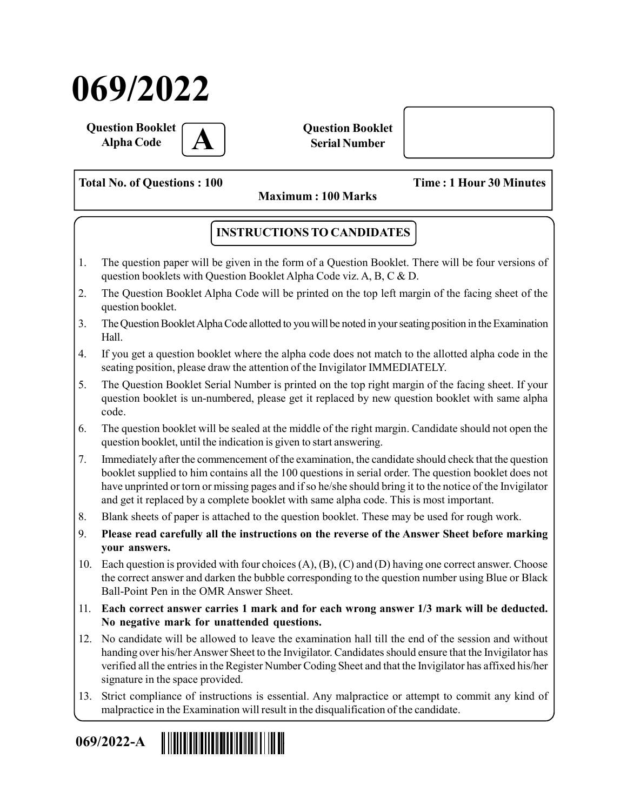# 069/2022

Question Booklet **Alpha Code** 

Question Booklet Serial Number

Total No. of Questions : 100 Time : 1 Hour 30 Minutes

Maximum : 100 Marks

### INSTRUCTIONS TO CANDIDATES

- 1. The question paper will be given in the form of a Question Booklet. There will be four versions of question booklets with Question Booklet Alpha Code viz. A, B, C & D.
- 2. The Question Booklet Alpha Code will be printed on the top left margin of the facing sheet of the question booklet.
- 3. The Question Booklet Alpha Code allotted to you will be noted in your seating position in the Examination Hall.
- 4. If you get a question booklet where the alpha code does not match to the allotted alpha code in the seating position, please draw the attention of the Invigilator IMMEDIATELY.
- 5. The Question Booklet Serial Number is printed on the top right margin of the facing sheet. If your question booklet is un-numbered, please get it replaced by new question booklet with same alpha code.
- 6. The question booklet will be sealed at the middle of the right margin. Candidate should not open the question booklet, until the indication is given to start answering.
- 7. Immediately after the commencement of the examination, the candidate should check that the question booklet supplied to him contains all the 100 questions in serial order. The question booklet does not have unprinted or torn or missing pages and if so he/she should bring it to the notice of the Invigilator and get it replaced by a complete booklet with same alpha code. This is most important.
- 8. Blank sheets of paper is attached to the question booklet. These may be used for rough work.
- 9. Please read carefully all the instructions on the reverse of the Answer Sheet before marking your answers.
- 10. Each question is provided with four choices (A), (B), (C) and (D) having one correct answer. Choose the correct answer and darken the bubble corresponding to the question number using Blue or Black Ball-Point Pen in the OMR Answer Sheet.
- 11. Each correct answer carries 1 mark and for each wrong answer 1/3 mark will be deducted. No negative mark for unattended questions.
- 12. No candidate will be allowed to leave the examination hall till the end of the session and without handing over his/her Answer Sheet to the Invigilator. Candidates should ensure that the Invigilator has verified all the entries in the Register Number Coding Sheet and that the Invigilator has affixed his/her signature in the space provided.
- 13. Strict compliance of instructions is essential. Any malpractice or attempt to commit any kind of malpractice in the Examination will result in the disqualification of the candidate.

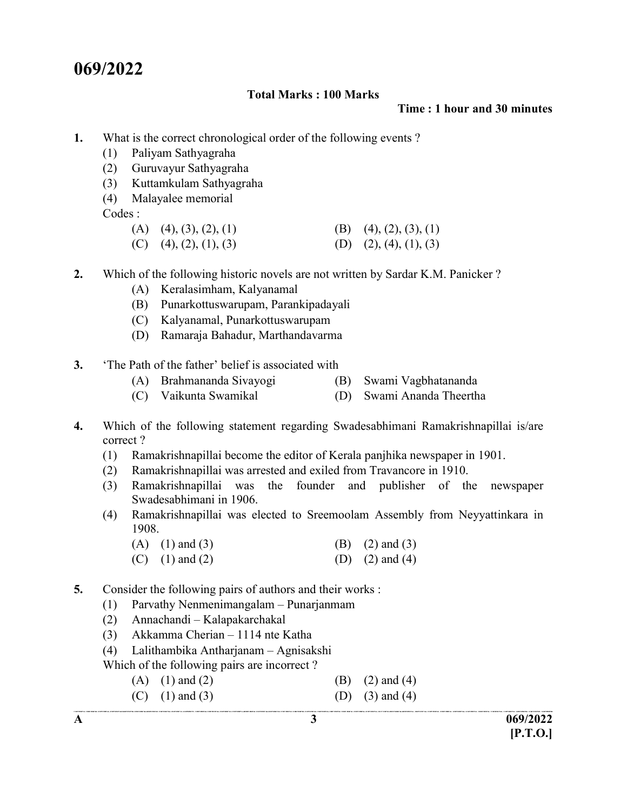## 069/2022

#### Total Marks : 100 Marks

Time : 1 hour and 30 minutes

- 1. What is the correct chronological order of the following events ?
	- (1) Paliyam Sathyagraha
	- (2) Guruvayur Sathyagraha
	- (3) Kuttamkulam Sathyagraha
	- (4) Malayalee memorial

Codes :

- (A) (4), (3), (2), (1) (B) (4), (2), (3), (1)
- (C) (4), (2), (1), (3) (D) (2), (4), (1), (3)
- 2. Which of the following historic novels are not written by Sardar K.M. Panicker ?
	- (A) Keralasimham, Kalyanamal
	- (B) Punarkottuswarupam, Parankipadayali
	- (C) Kalyanamal, Punarkottuswarupam
	- (D) Ramaraja Bahadur, Marthandavarma
- 3. 'The Path of the father' belief is associated with
	- (A) Brahmananda Sivayogi (B) Swami Vagbhatananda
	- (C) Vaikunta Swamikal (D) Swami Ananda Theertha
- 4. Which of the following statement regarding Swadesabhimani Ramakrishnapillai is/are correct ?
	- (1) Ramakrishnapillai become the editor of Kerala panjhika newspaper in 1901.
	- (2) Ramakrishnapillai was arrested and exiled from Travancore in 1910.
	- (3) Ramakrishnapillai was the founder and publisher of the newspaper Swadesabhimani in 1906.
	- (4) Ramakrishnapillai was elected to Sreemoolam Assembly from Neyyattinkara in 1908.
		- (A) (1) and (3) (B) (2) and (3) (C) (1) and (2) (D) (2) and (4)
- 5. Consider the following pairs of authors and their works :
	- (1) Parvathy Nenmenimangalam Punarjanmam
	- (2) Annachandi Kalapakarchakal
	- (3) Akkamma Cherian 1114 nte Katha
	- (4) Lalithambika Antharjanam Agnisakshi

Which of the following pairs are incorrect ?

- (A) (1) and (2) (B) (2) and (4)
- (C) (1) and (3) (D) (3) and (4)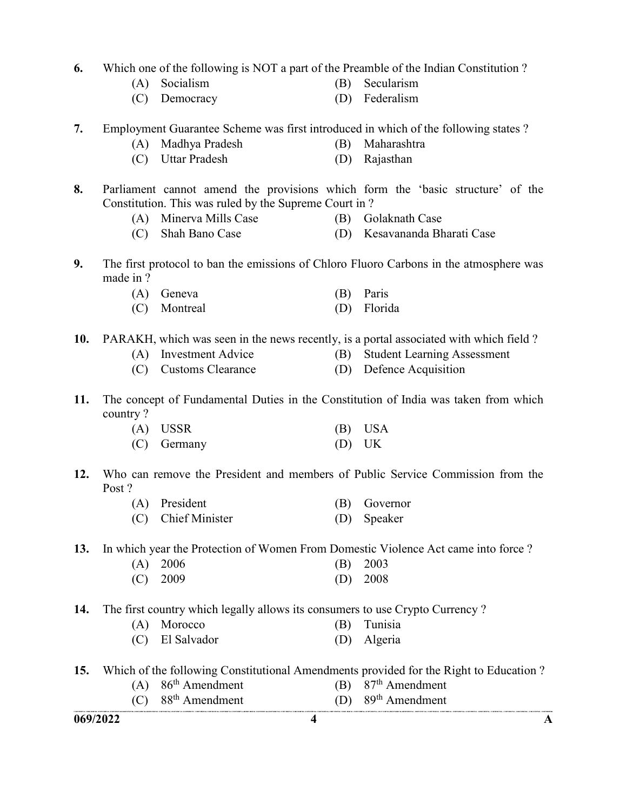- 6. Which one of the following is NOT a part of the Preamble of the Indian Constitution ?
	- (A) Socialism (B) Secularism
		-
	- (C) Democracy (D) Federalism
- 7. Employment Guarantee Scheme was first introduced in which of the following states ?
	- (A) Madhya Pradesh (B) Maharashtra
	- (C) Uttar Pradesh (D) Rajasthan
- 8. Parliament cannot amend the provisions which form the 'basic structure' of the Constitution. This was ruled by the Supreme Court in ?
	- (A) Minerva Mills Case (B) Golaknath Case
		-
	- (C) Shah Bano Case (D) Kesavananda Bharati Case
- 9. The first protocol to ban the emissions of Chloro Fluoro Carbons in the atmosphere was made in ?
	- (A) Geneva (B) Paris
	- (C) Montreal (D) Florida
- 10. PARAKH, which was seen in the news recently, is a portal associated with which field ?
	- (A) Investment Advice (B) Student Learning Assessment
		-
	- (C) Customs Clearance (D) Defence Acquisition
- 11. The concept of Fundamental Duties in the Constitution of India was taken from which country ?

| $(A)$ USSR    |          | (B) USA |
|---------------|----------|---------|
| $(C)$ Germany | $(D)$ UK |         |

- 12. Who can remove the President and members of Public Service Commission from the Post ?
	- (A) President (B) Governor (C) Chief Minister (D) Speaker
- 13. In which year the Protection of Women From Domestic Violence Act came into force ?
	- (A) 2006 (B) 2003 (C) 2009 (D) 2008
- 14. The first country which legally allows its consumers to use Crypto Currency ?
	- (A) Morocco (B) Tunisia
	- (C) El Salvador (D) Algeria
- 15. Which of the following Constitutional Amendments provided for the Right to Education ?
	- (A) 86<sup>th</sup> Amendment (B) 87<sup>th</sup> Amendment  $(C)$  88<sup>th</sup> Amendment (D) 89<sup>th</sup> Amendment
		-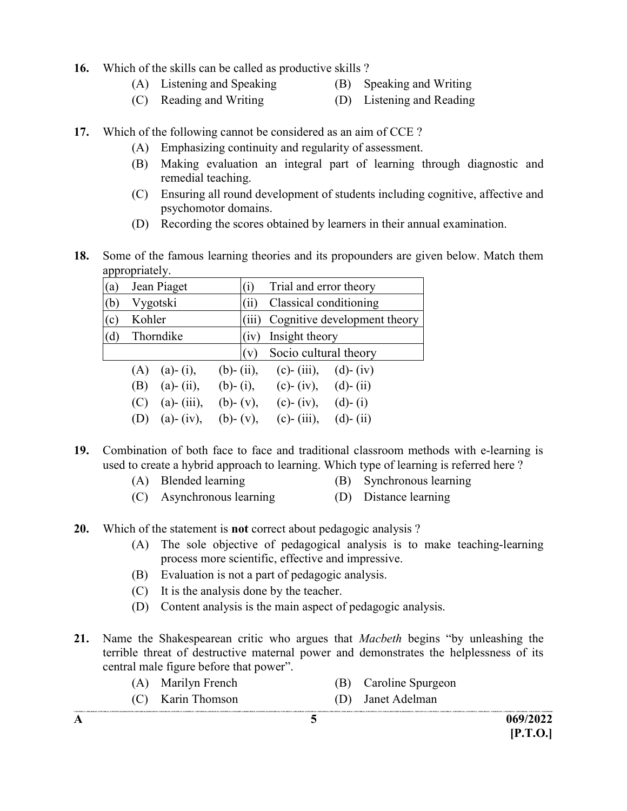- 16. Which of the skills can be called as productive skills ?
	- (A) Listening and Speaking (B) Speaking and Writing
- - (C) Reading and Writing (D) Listening and Reading
- 17. Which of the following cannot be considered as an aim of CCE ?
	- (A) Emphasizing continuity and regularity of assessment.
	- (B) Making evaluation an integral part of learning through diagnostic and remedial teaching.
	- (C) Ensuring all round development of students including cognitive, affective and psychomotor domains.
	- (D) Recording the scores obtained by learners in their annual examination.
- 18. Some of the famous learning theories and its propounders are given below. Match them appropriately.

| (a             | Jean Piaget              |                 | (i)   | Trial and error theory |                              |
|----------------|--------------------------|-----------------|-------|------------------------|------------------------------|
| (b)            | Vygotski                 |                 | (i)   | Classical conditioning |                              |
| $\mathbf{c}$ ) | Kohler                   |                 | (iii) |                        | Cognitive development theory |
| (d)            | Thorndike                |                 | (iv)  | Insight theory         |                              |
|                |                          |                 | (v)   | Socio cultural theory  |                              |
|                | $(a) - (i),$<br>(A)      | $(b)$ - (ii),   |       | (c)- (iii), (d)- (iv)  |                              |
|                | $(a) - (ii),$<br>(B)     | $(b)$ - (i),    |       | (c)- (iv), (d)- (ii)   |                              |
|                | $(a)$ - $(iii)$ ,<br>(C) | $(b)$ - $(v)$ , |       | $(c)$ - (iv),          | $(d) - (i)$                  |
|                | $(a) - (iv),$<br>(D)     | $(b)$ - $(v)$ , |       | $(c)$ - (iii),         | $(d)$ - $(ii)$               |

- 19. Combination of both face to face and traditional classroom methods with e-learning is used to create a hybrid approach to learning. Which type of learning is referred here ?
	- (A) Blended learning (B) Synchronous learning
	- (C) Asynchronous learning (D) Distance learning
- 20. Which of the statement is **not** correct about pedagogic analysis ?
	- (A) The sole objective of pedagogical analysis is to make teaching-learning process more scientific, effective and impressive.
	- (B) Evaluation is not a part of pedagogic analysis.
	- (C) It is the analysis done by the teacher.
	- (D) Content analysis is the main aspect of pedagogic analysis.
- 21. Name the Shakespearean critic who argues that *Macbeth* begins "by unleashing the terrible threat of destructive maternal power and demonstrates the helplessness of its central male figure before that power".
	- (A) Marilyn French (B) Caroline Spurgeon (C) Karin Thomson (D) Janet Adelman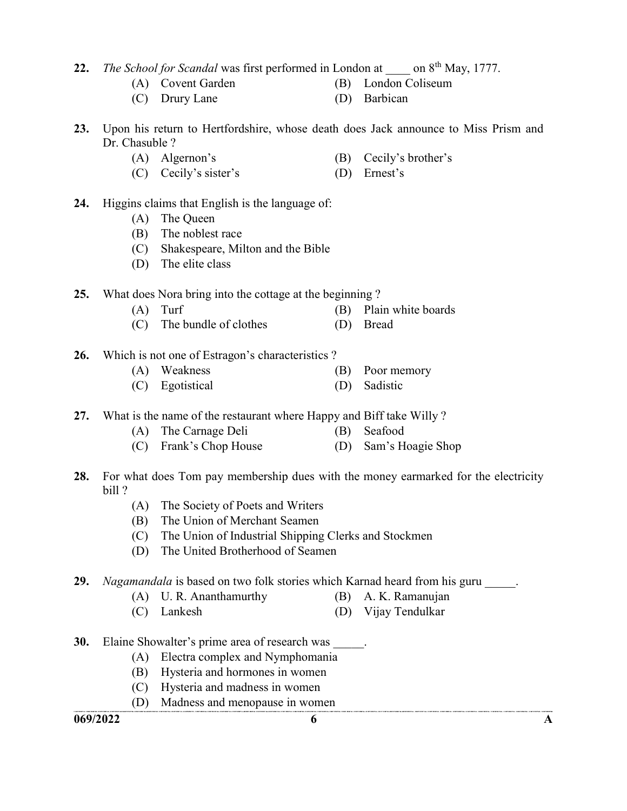22. The School for Scandal was first performed in London at  $\qquad$  on 8<sup>th</sup> May, 1777.

- (A) Covent Garden (B) London Coliseum
- 
- (C) Drury Lane (D) Barbican
- 23. Upon his return to Hertfordshire, whose death does Jack announce to Miss Prism and Dr. Chasuble ?
	- (A) Algernon's (B) Cecily's brother's
	- (C) Cecily's sister's (D) Ernest's

#### 24. Higgins claims that English is the language of:

- (A) The Queen
- (B) The noblest race
- (C) Shakespeare, Milton and the Bible
- (D) The elite class

#### 25. What does Nora bring into the cottage at the beginning ?

- (A) Turf (B) Plain white boards
- (C) The bundle of clothes (D) Bread
- 26. Which is not one of Estragon's characteristics ?
	- (A) Weakness (B) Poor memory
	- (C) Egotistical (D) Sadistic
- 27. What is the name of the restaurant where Happy and Biff take Willy ?
	- (A) The Carnage Deli (B) Seafood
	- (C) Frank's Chop House (D) Sam's Hoagie Shop
- 28. For what does Tom pay membership dues with the money earmarked for the electricity bill ?
	- (A) The Society of Poets and Writers
	- (B) The Union of Merchant Seamen
	- (C) The Union of Industrial Shipping Clerks and Stockmen
	- (D) The United Brotherhood of Seamen

#### 29. Nagamandala is based on two folk stories which Karnad heard from his guru

- (A) U. R. Ananthamurthy (B) A. K. Ramanujan
- (C) Lankesh (D) Vijay Tendulkar
- 30. Elaine Showalter's prime area of research was  $\qquad \qquad$ .
	- (A) Electra complex and Nymphomania
	- (B) Hysteria and hormones in women
	- (C) Hysteria and madness in women
	- (D) Madness and menopause in women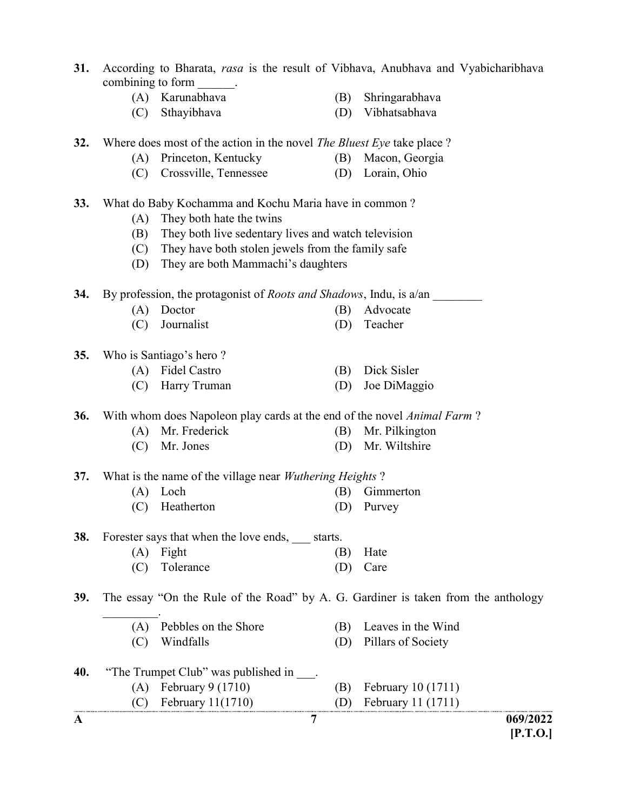- 31. According to Bharata, rasa is the result of Vibhava, Anubhava and Vyabicharibhava combining to form  $\blacksquare$ .
	- (A) Karunabhava (B) Shringarabhava
	- (C) Sthayibhava (D) Vibhatsabhava

32. Where does most of the action in the novel *The Bluest Eye* take place?

- (A) Princeton, Kentucky (B) Macon, Georgia
- (C) Crossville, Tennessee (D) Lorain, Ohio

#### 33. What do Baby Kochamma and Kochu Maria have in common ?

- (A) They both hate the twins
- (B) They both live sedentary lives and watch television
- (C) They have both stolen jewels from the family safe
- (D) They are both Mammachi's daughters

34. By profession, the protagonist of *Roots and Shadows*, Indu, is a/an

- (A) Doctor (B) Advocate
- (C) Journalist (D) Teacher

35. Who is Santiago's hero ?

- (A) Fidel Castro (B) Dick Sisler
- (C) Harry Truman (D) Joe DiMaggio

**36.** With whom does Napoleon play cards at the end of the novel *Animal Farm*?

- (A) Mr. Frederick (B) Mr. Pilkington
	- (C) Mr. Jones (D) Mr. Wiltshire

37. What is the name of the village near *Wuthering Heights* ?

- (A) Loch (B) Gimmerton
- (C) Heatherton (D) Purvey

38. Forester says that when the love ends, starts.

(A) Fight (B) Hate (C) Tolerance (D) Care

39. The essay "On the Rule of the Road" by A. G. Gardiner is taken from the anthology

- $\mathcal{L}_\text{max}$  (A) Pebbles on the Shore (B) Leaves in the Wind (C) Windfalls (D) Pillars of Society
- A  $\overline{7}$  069/2022 40. "The Trumpet Club" was published in . (A) February 9 (1710) (B) February 10 (1711) (C) February 11(1710) (D) February 11 (1711)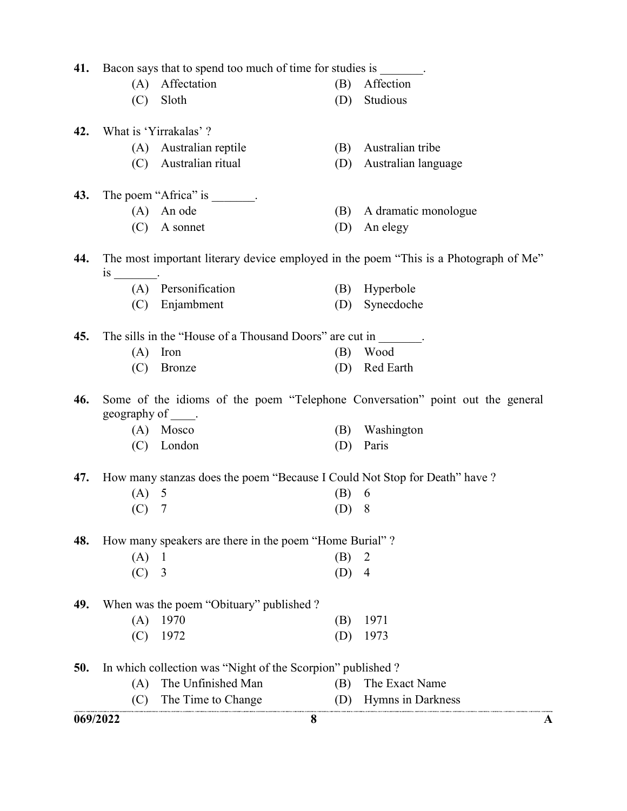|     | 41. Bacon says that to spend too much of time for studies is |                                                                            |     |                                                                                      |  |
|-----|--------------------------------------------------------------|----------------------------------------------------------------------------|-----|--------------------------------------------------------------------------------------|--|
|     | (A)                                                          | Affectation                                                                | (B) | Affection                                                                            |  |
|     | (C)                                                          | Sloth                                                                      | (D) | Studious                                                                             |  |
| 42. |                                                              | What is 'Yirrakalas' ?                                                     |     |                                                                                      |  |
|     | (A)                                                          | Australian reptile                                                         | (B) | Australian tribe                                                                     |  |
|     | (C)                                                          | Australian ritual                                                          | (D) | Australian language                                                                  |  |
| 43. |                                                              | The poem "Africa" is                                                       |     |                                                                                      |  |
|     |                                                              | $(A)$ An ode                                                               | (B) | A dramatic monologue                                                                 |  |
|     |                                                              | $(C)$ A sonnet                                                             | (D) | An elegy                                                                             |  |
| 44. |                                                              |                                                                            |     | The most important literary device employed in the poem "This is a Photograph of Me" |  |
|     |                                                              | (A) Personification                                                        | (B) | Hyperbole                                                                            |  |
|     |                                                              | (C) Enjambment                                                             | (D) | Synecdoche                                                                           |  |
| 45. |                                                              | The sills in the "House of a Thousand Doors" are cut in                    |     |                                                                                      |  |
|     | (A)                                                          | Iron                                                                       | (B) | Wood                                                                                 |  |
|     | (C)                                                          | <b>Bronze</b>                                                              | (D) | Red Earth                                                                            |  |
| 46. | geography of $\_\_\$ .                                       |                                                                            |     | Some of the idioms of the poem "Telephone Conversation" point out the general        |  |
|     |                                                              | $(A)$ Mosco                                                                | (B) | Washington                                                                           |  |
|     |                                                              | (C) London                                                                 | (D) | Paris                                                                                |  |
| 47. |                                                              | How many stanzas does the poem "Because I Could Not Stop for Death" have ? |     |                                                                                      |  |
|     | $(A)$ 5                                                      |                                                                            | (B) | 6                                                                                    |  |
|     | (C)                                                          | 7                                                                          | (D) | 8                                                                                    |  |
| 48. |                                                              | How many speakers are there in the poem "Home Burial"?                     |     |                                                                                      |  |
|     | (A)                                                          | $\perp$                                                                    | (B) | 2                                                                                    |  |
|     | (C)                                                          | $\overline{3}$                                                             | (D) | $\overline{4}$                                                                       |  |
| 49. |                                                              | When was the poem "Obituary" published ?                                   |     |                                                                                      |  |
|     | (A)                                                          | 1970                                                                       | (B) | 1971                                                                                 |  |
|     | (C)                                                          | 1972                                                                       | (D) | 1973                                                                                 |  |
| 50. |                                                              | In which collection was "Night of the Scorpion" published?                 |     |                                                                                      |  |
|     | (A)                                                          | The Unfinished Man                                                         | (B) | The Exact Name                                                                       |  |
|     | (C)                                                          | The Time to Change                                                         | (D) | Hymns in Darkness                                                                    |  |
|     | 069/2022                                                     |                                                                            | 8   |                                                                                      |  |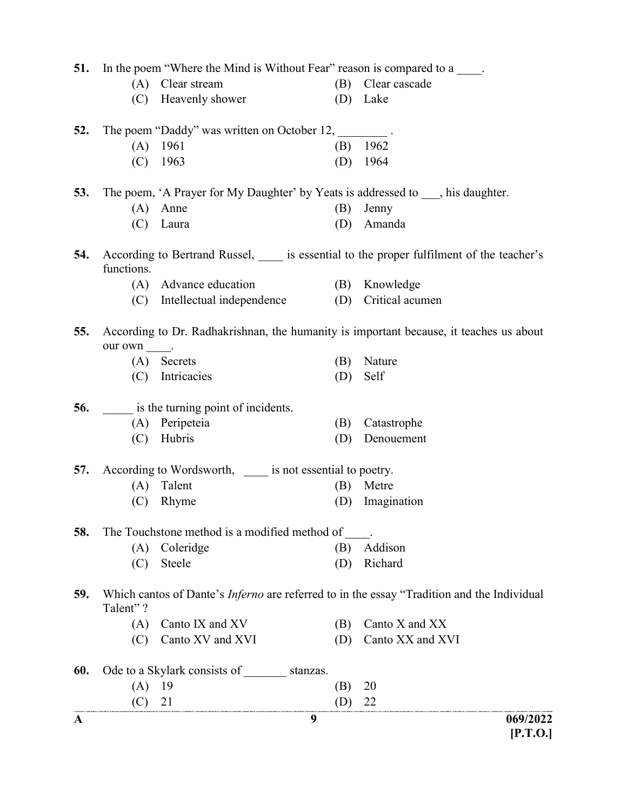| 51. |            | In the poem "Where the Mind is Without Fear" reason is compared to a                                                |     |                                                                                                                    |
|-----|------------|---------------------------------------------------------------------------------------------------------------------|-----|--------------------------------------------------------------------------------------------------------------------|
|     | (A)        | Clear stream                                                                                                        | (B) | Clear cascade                                                                                                      |
|     |            | (C) Heavenly shower                                                                                                 |     | (D) Lake                                                                                                           |
| 52. |            | The poem "Daddy" was written on October 12,                                                                         |     |                                                                                                                    |
|     |            | $(A)$ 1961                                                                                                          | (B) | 1962                                                                                                               |
|     | (C)        | 1963                                                                                                                | (D) | 1964                                                                                                               |
| 53. |            | The poem, 'A Prayer for My Daughter' by Yeats is addressed to , his daughter.                                       |     |                                                                                                                    |
|     | (A)        | Anne                                                                                                                | (B) | Jenny                                                                                                              |
|     | (C)        | Laura                                                                                                               | (D) | Amanda                                                                                                             |
| 54. | functions. |                                                                                                                     |     | According to Bertrand Russel, _____ is essential to the proper fulfilment of the teacher's                         |
|     |            | (A) Advance education                                                                                               | (B) | Knowledge                                                                                                          |
|     |            | (C) Intellectual independence                                                                                       | (D) | Critical acumen                                                                                                    |
| 55. | our own .  |                                                                                                                     |     | According to Dr. Radhakrishnan, the humanity is important because, it teaches us about                             |
|     | (A)        | Secrets                                                                                                             | (B) | Nature                                                                                                             |
|     | (C)        | Intricacies                                                                                                         | (D) | Self                                                                                                               |
| 56. |            | is the turning point of incidents.                                                                                  |     |                                                                                                                    |
|     |            | (A) Peripeteia                                                                                                      | (B) | Catastrophe                                                                                                        |
|     | (C)        | Hubris                                                                                                              | (D) | Denouement                                                                                                         |
| 57. |            | According to Wordsworth, _____ is not essential to poetry.                                                          |     |                                                                                                                    |
|     |            | (A) Talent                                                                                                          | (B) | Metre                                                                                                              |
|     | (C)        | Rhyme                                                                                                               | (D) | Imagination                                                                                                        |
| 58. |            | The Touchstone method is a modified method of                                                                       |     |                                                                                                                    |
|     |            | (A) Coleridge                                                                                                       | (B) | Addison                                                                                                            |
|     | (C)        | Steele                                                                                                              | (D) | Richard                                                                                                            |
| 59. | Talent"?   |                                                                                                                     |     | Which cantos of Dante's Inferno are referred to in the essay "Tradition and the Individual                         |
|     | (A)        | Canto IX and XV                                                                                                     | (B) | Canto X and XX                                                                                                     |
|     | (C)        | Canto XV and XVI                                                                                                    | (D) | Canto XX and XVI                                                                                                   |
| 60. |            | Ode to a Skylark consists of _________ stanzas.                                                                     |     |                                                                                                                    |
|     | $(A)$ 19   |                                                                                                                     | (B) | 20                                                                                                                 |
|     | $(C)$ 21   | .<br>Na amitinya, obertinya kentini ya kwetinya, mekenya bokotana kwekini ya bintinga mendewa mwatana komenta kwemb | (D) | 22<br>.<br>Kanta zemiantul kaj konsula entremas obvodatul antonomu kononcaj su konsula (koncerta obvodata). Kontaŭ |
| A   |            |                                                                                                                     | 9   | 069/2022<br>[P.T.O.]                                                                                               |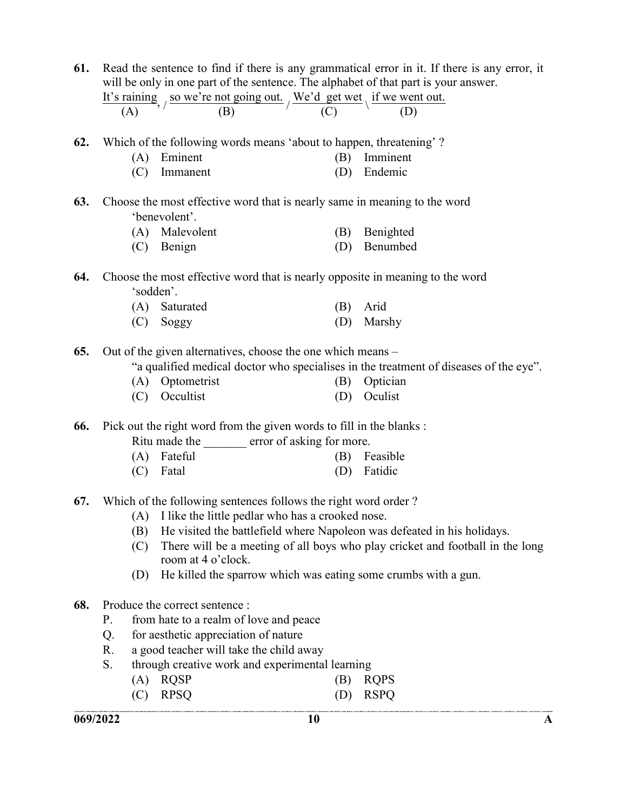| 069/2022 |                                                                                                                                                                                     |                                                                                                    | 10         | A                                                                                     |  |  |
|----------|-------------------------------------------------------------------------------------------------------------------------------------------------------------------------------------|----------------------------------------------------------------------------------------------------|------------|---------------------------------------------------------------------------------------|--|--|
|          |                                                                                                                                                                                     |                                                                                                    |            |                                                                                       |  |  |
|          | (C)                                                                                                                                                                                 | <b>RQSP</b><br>(A)<br><b>RPSQ</b>                                                                  | (B)<br>(D) | <b>RQPS</b><br><b>RSPQ</b>                                                            |  |  |
|          |                                                                                                                                                                                     | through creative work and experimental learning                                                    |            |                                                                                       |  |  |
|          | S.                                                                                                                                                                                  | a good teacher will take the child away                                                            |            |                                                                                       |  |  |
|          | Q.<br>R.                                                                                                                                                                            | for aesthetic appreciation of nature                                                               |            |                                                                                       |  |  |
|          | P.                                                                                                                                                                                  | from hate to a realm of love and peace                                                             |            |                                                                                       |  |  |
| 68.      |                                                                                                                                                                                     | Produce the correct sentence :                                                                     |            |                                                                                       |  |  |
|          | (D)                                                                                                                                                                                 |                                                                                                    |            | He killed the sparrow which was eating some crumbs with a gun.                        |  |  |
|          |                                                                                                                                                                                     | room at 4 o'clock.                                                                                 |            |                                                                                       |  |  |
|          |                                                                                                                                                                                     | There will be a meeting of all boys who play cricket and football in the long<br>(C)               |            |                                                                                       |  |  |
|          | (B)                                                                                                                                                                                 |                                                                                                    |            | He visited the battlefield where Napoleon was defeated in his holidays.               |  |  |
|          |                                                                                                                                                                                     | (A) I like the little pedlar who has a crooked nose.                                               |            |                                                                                       |  |  |
| 67.      |                                                                                                                                                                                     | Which of the following sentences follows the right word order?                                     |            |                                                                                       |  |  |
|          | (C)                                                                                                                                                                                 | Fatal                                                                                              | (D)        | Fatidic                                                                               |  |  |
|          | (A)                                                                                                                                                                                 | Fateful                                                                                            | (B)        | Feasible                                                                              |  |  |
|          |                                                                                                                                                                                     | Ritu made the error of asking for more.                                                            |            |                                                                                       |  |  |
| 66.      |                                                                                                                                                                                     | Pick out the right word from the given words to fill in the blanks :                               |            |                                                                                       |  |  |
|          |                                                                                                                                                                                     |                                                                                                    |            |                                                                                       |  |  |
|          | (C)                                                                                                                                                                                 | Occultist                                                                                          | (D)        | Oculist                                                                               |  |  |
|          |                                                                                                                                                                                     | Optometrist<br>(A)                                                                                 | (B)        | Optician                                                                              |  |  |
|          |                                                                                                                                                                                     |                                                                                                    |            | "a qualified medical doctor who specialises in the treatment of diseases of the eye". |  |  |
| 65.      |                                                                                                                                                                                     | Out of the given alternatives, choose the one which means –                                        |            |                                                                                       |  |  |
|          | (C)                                                                                                                                                                                 | Soggy                                                                                              | (D)        | Marshy                                                                                |  |  |
|          |                                                                                                                                                                                     | (A)<br>Saturated                                                                                   | (B)        | Arid                                                                                  |  |  |
|          |                                                                                                                                                                                     | 'sodden'.                                                                                          |            |                                                                                       |  |  |
| 64.      |                                                                                                                                                                                     |                                                                                                    |            | Choose the most effective word that is nearly opposite in meaning to the word         |  |  |
|          |                                                                                                                                                                                     |                                                                                                    |            |                                                                                       |  |  |
|          | (C)                                                                                                                                                                                 | Benign                                                                                             | (D)        | Benumbed                                                                              |  |  |
|          |                                                                                                                                                                                     | (A) Malevolent                                                                                     | (B)        | Benighted                                                                             |  |  |
|          |                                                                                                                                                                                     | 'benevolent'.                                                                                      |            |                                                                                       |  |  |
| 63.      |                                                                                                                                                                                     | Choose the most effective word that is nearly same in meaning to the word                          |            |                                                                                       |  |  |
|          | (C)                                                                                                                                                                                 | Immanent                                                                                           | (D)        | Endemic                                                                               |  |  |
|          | (A)                                                                                                                                                                                 | Eminent                                                                                            | (B)        | Imminent                                                                              |  |  |
| 62.      |                                                                                                                                                                                     | Which of the following words means 'about to happen, threatening'?                                 |            |                                                                                       |  |  |
|          |                                                                                                                                                                                     |                                                                                                    |            |                                                                                       |  |  |
|          |                                                                                                                                                                                     | It's raining, $\frac{\text{So we're not going out.}}{(B)}$ / We'd get wet \ if we went out.<br>(A) |            |                                                                                       |  |  |
|          |                                                                                                                                                                                     |                                                                                                    |            |                                                                                       |  |  |
|          | Read the sentence to find if there is any grammatical error in it. If there is any error, it<br>will be only in one part of the sentence. The alphabet of that part is your answer. |                                                                                                    |            |                                                                                       |  |  |
| 61.      |                                                                                                                                                                                     |                                                                                                    |            |                                                                                       |  |  |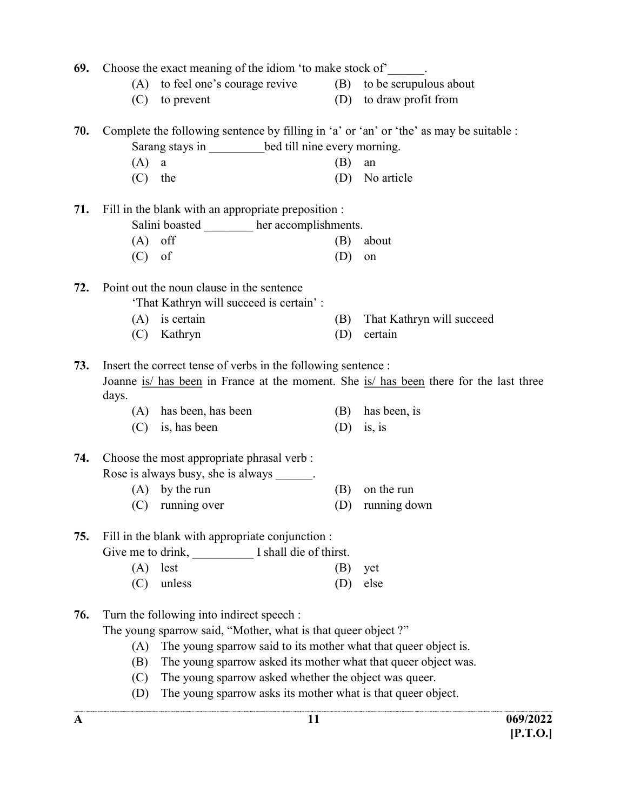| 69. | Choose the exact meaning of the idiom 'to make stock of'.    |                                                                                         |     |                                                                                        |  |  |
|-----|--------------------------------------------------------------|-----------------------------------------------------------------------------------------|-----|----------------------------------------------------------------------------------------|--|--|
|     | (A)                                                          | to feel one's courage revive (B) to be scrupulous about                                 |     |                                                                                        |  |  |
|     | (C)                                                          | to prevent                                                                              |     | (D) to draw profit from                                                                |  |  |
| 70. |                                                              | Complete the following sentence by filling in 'a' or 'an' or 'the' as may be suitable : |     |                                                                                        |  |  |
|     | Sarang stays in ___________bed till nine every morning.      |                                                                                         |     |                                                                                        |  |  |
|     | (A)                                                          | $\rm{a}$                                                                                | (B) | an                                                                                     |  |  |
|     | (C)                                                          | the                                                                                     | (D) | No article                                                                             |  |  |
| 71. |                                                              | Fill in the blank with an appropriate preposition :                                     |     |                                                                                        |  |  |
|     |                                                              | Salini boasted her accomplishments.                                                     |     |                                                                                        |  |  |
|     | (A)                                                          | off                                                                                     | (B) | about                                                                                  |  |  |
|     | (C)                                                          | of                                                                                      | (D) | on                                                                                     |  |  |
| 72. |                                                              | Point out the noun clause in the sentence                                               |     |                                                                                        |  |  |
|     |                                                              | 'That Kathryn will succeed is certain':                                                 |     |                                                                                        |  |  |
|     |                                                              | $(A)$ is certain                                                                        | (B) | That Kathryn will succeed                                                              |  |  |
|     | (C)                                                          | Kathryn                                                                                 | (D) | certain                                                                                |  |  |
| 73. |                                                              | Insert the correct tense of verbs in the following sentence :                           |     |                                                                                        |  |  |
|     | days.                                                        |                                                                                         |     | Joanne is/ has been in France at the moment. She is/ has been there for the last three |  |  |
|     | (A)                                                          | has been, has been                                                                      | (B) | has been, is                                                                           |  |  |
|     | (C)                                                          | is, has been                                                                            | (D) | is, is                                                                                 |  |  |
| 74. |                                                              | Choose the most appropriate phrasal verb :                                              |     |                                                                                        |  |  |
|     |                                                              | Rose is always busy, she is always ______.                                              |     |                                                                                        |  |  |
|     |                                                              | $(A)$ by the run                                                                        | (B) | on the run                                                                             |  |  |
|     |                                                              | (C) running over                                                                        | (D) | running down                                                                           |  |  |
| 75. | Fill in the blank with appropriate conjunction :             |                                                                                         |     |                                                                                        |  |  |
|     |                                                              | Give me to drink, I shall die of thirst.                                                |     |                                                                                        |  |  |
|     | (A)                                                          | lest                                                                                    | (B) | yet                                                                                    |  |  |
|     | (C)                                                          | unless                                                                                  | (D) | else                                                                                   |  |  |
| 76. |                                                              | Turn the following into indirect speech :                                               |     |                                                                                        |  |  |
|     | The young sparrow said, "Mother, what is that queer object?" |                                                                                         |     |                                                                                        |  |  |
|     | (A)                                                          | The young sparrow said to its mother what that queer object is.                         |     |                                                                                        |  |  |
|     | (B)                                                          | The young sparrow asked its mother what that queer object was.                          |     |                                                                                        |  |  |
|     | (C)                                                          | The young sparrow asked whether the object was queer.                                   |     |                                                                                        |  |  |
|     | (D)                                                          | The young sparrow asks its mother what is that queer object.                            |     |                                                                                        |  |  |
| A   |                                                              | 11                                                                                      |     | 069/2022                                                                               |  |  |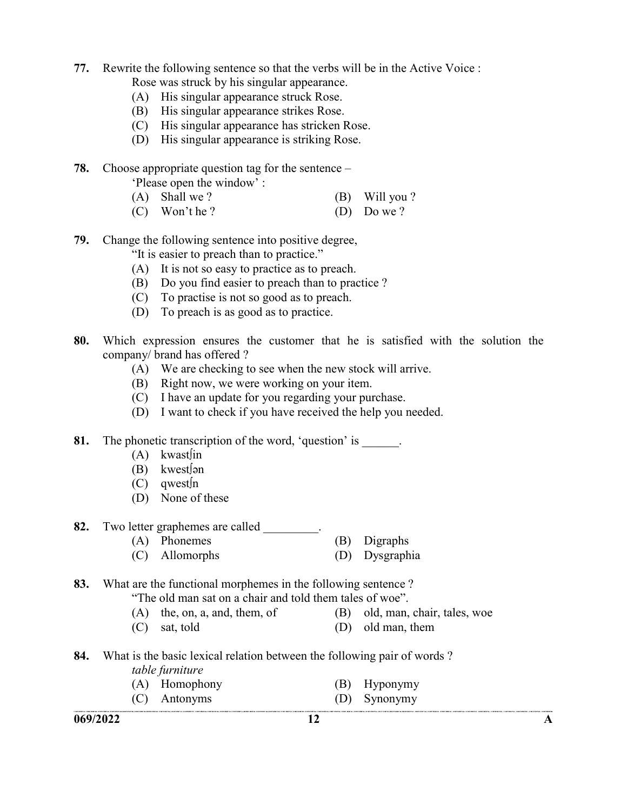- 77. Rewrite the following sentence so that the verbs will be in the Active Voice :
	- Rose was struck by his singular appearance.
	- (A) His singular appearance struck Rose.
	- (B) His singular appearance strikes Rose.
	- (C) His singular appearance has stricken Rose.
	- (D) His singular appearance is striking Rose.
- 78. Choose appropriate question tag for the sentence –

| 'Please open the window': |  |
|---------------------------|--|
|                           |  |

- (A) Shall we ? (B) Will you ?
- (C) Won't he ? (D) Do we ?
- 79. Change the following sentence into positive degree,

"It is easier to preach than to practice."

- (A) It is not so easy to practice as to preach.
- (B) Do you find easier to preach than to practice ?
- (C) To practise is not so good as to preach.
- (D) To preach is as good as to practice.
- 80. Which expression ensures the customer that he is satisfied with the solution the company/ brand has offered ?
	- (A) We are checking to see when the new stock will arrive.
	- (B) Right now, we were working on your item.
	- (C) I have an update for you regarding your purchase.
	- (D) I want to check if you have received the help you needed.
- 81. The phonetic transcription of the word, 'question' is  $\qquad \qquad$ 
	- $(A)$  kwast $\lim$
	- $(B)$  kwest $\int$ ən
	- $(C)$  qwest  $\ln$
	- (D) None of these

#### 82. Two letter graphemes are called \_\_\_\_\_\_\_\_.

- (A) Phonemes (B) Digraphs
- (C) Allomorphs (D) Dysgraphia

#### 83. What are the functional morphemes in the following sentence ?

"The old man sat on a chair and told them tales of woe".

- (A) the, on, a, and, them, of (B) old, man, chair, tales, woe
- (C) sat, told (D) old man, them
- 84. What is the basic lexical relation between the following pair of words ? table furniture
	- (A) Homophony (B) Hyponymy
	- (C) Antonyms (D) Synonymy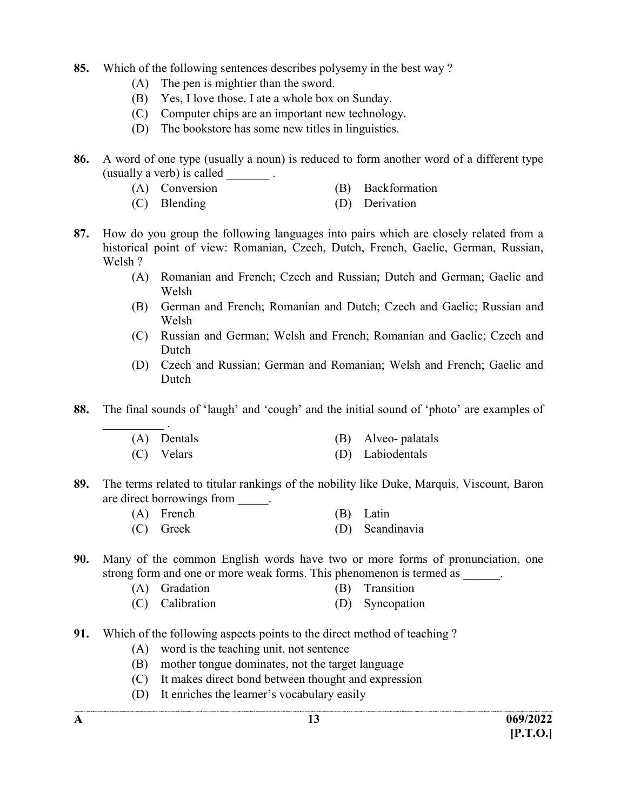- 85. Which of the following sentences describes polysemy in the best way ?
	- (A) The pen is mightier than the sword.
	- (B) Yes, I love those. I ate a whole box on Sunday.
	- (C) Computer chips are an important new technology.
	- (D) The bookstore has some new titles in linguistics.
- 86. A word of one type (usually a noun) is reduced to form another word of a different type (usually a verb) is called  $\qquad \qquad$ .
	- (A) Conversion (B) Backformation
	- (C) Blending (D) Derivation
- 87. How do you group the following languages into pairs which are closely related from a historical point of view: Romanian, Czech, Dutch, French, Gaelic, German, Russian, Welsh ?
	- (A) Romanian and French; Czech and Russian; Dutch and German; Gaelic and Welsh
	- (B) German and French; Romanian and Dutch; Czech and Gaelic; Russian and Welsh
	- (C) Russian and German; Welsh and French; Romanian and Gaelic; Czech and Dutch
	- (D) Czech and Russian; German and Romanian; Welsh and French; Gaelic and Dutch
- 88. The final sounds of 'laugh' and 'cough' and the initial sound of 'photo' are examples of

| (A) Dentals | (B) Alveo-palatals |
|-------------|--------------------|
| (C) Velars  | (D) Labiodentals   |

- 89. The terms related to titular rankings of the nobility like Duke, Marquis, Viscount, Baron are direct borrowings from  $\qquad$ .
	- (A) French (B) Latin (C) Greek (D) Scandinavia
- 90. Many of the common English words have two or more forms of pronunciation, one strong form and one or more weak forms. This phenomenon is termed as  $\qquad \qquad$ .
	- (A) Gradation (B) Transition
	- (C) Calibration (D) Syncopation
- 91. Which of the following aspects points to the direct method of teaching ?
	- (A) word is the teaching unit, not sentence
	- (B) mother tongue dominates, not the target language
	- (C) It makes direct bond between thought and expression
	- (D) It enriches the learner's vocabulary easily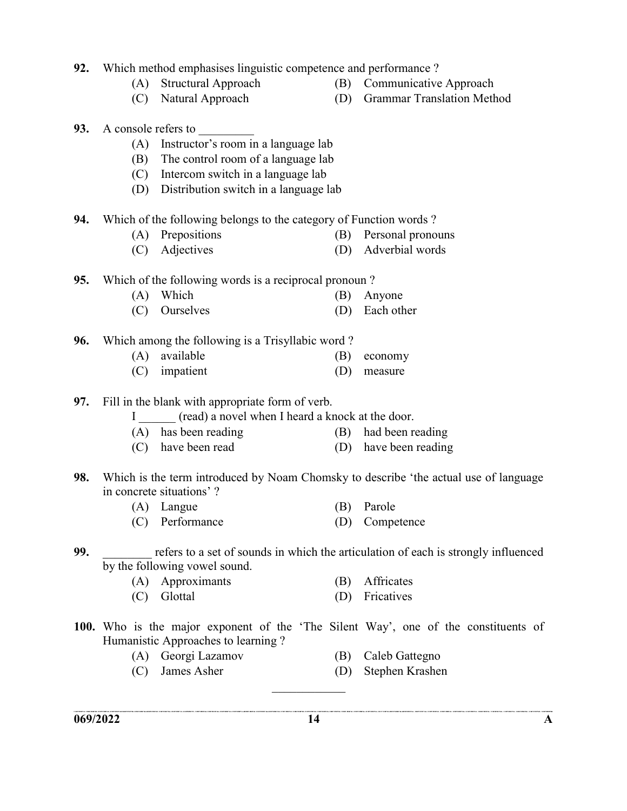- 92. Which method emphasises linguistic competence and performance ?
	-
	-
	- (A) Structural Approach (B) Communicative Approach
	- (C) Natural Approach (D) Grammar Translation Method
- 93. A console refers to
	- (A) Instructor's room in a language lab
	- (B) The control room of a language lab
	- (C) Intercom switch in a language lab
	- (D) Distribution switch in a language lab
- 94. Which of the following belongs to the category of Function words ?
	- (A) Prepositions (B) Personal pronouns
	- (C) Adjectives (D) Adverbial words

95. Which of the following words is a reciprocal pronoun ?

- (A) Which (B) Anyone
- (C) Ourselves (D) Each other
- 96. Which among the following is a Trisyllabic word ?
	- (A) available (B) economy
	- (C) impatient (D) measure
- 97. Fill in the blank with appropriate form of verb.
	- I (read) a novel when I heard a knock at the door.
	- (A) has been reading (B) had been reading
	- (C) have been read (D) have been reading
- 98. Which is the term introduced by Noam Chomsky to describe 'the actual use of language in concrete situations' ?
	- (A) Langue (B) Parole
	- (C) Performance (D) Competence
- 99. The refers to a set of sounds in which the articulation of each is strongly influenced by the following vowel sound.
	- (A) Approximants (B) Affricates
	- (C) Glottal (D) Fricatives
- 100. Who is the major exponent of the 'The Silent Way', one of the constituents of Humanistic Approaches to learning ?
	- (A) Georgi Lazamov (B) Caleb Gattegno
	-
- 
- (C) James Asher (D) Stephen Krashen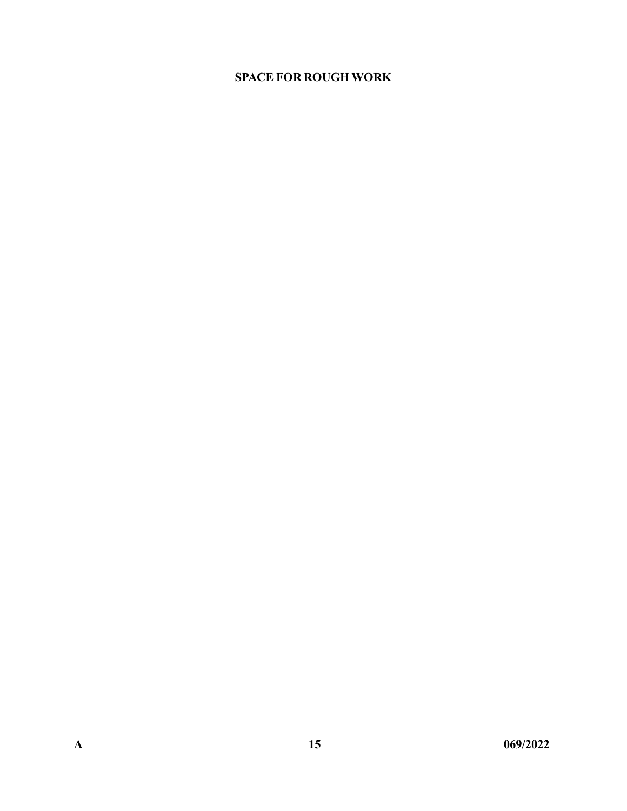#### SPACE FOR ROUGH WORK